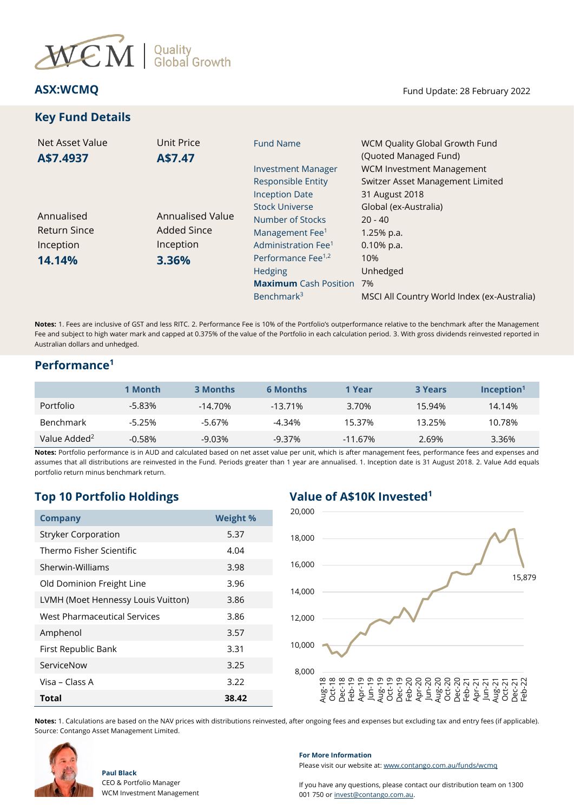

# **Key Fund Details**

**ASX:WCMQ** Fund Update: 28 February 2022

| Net Asset Value<br>A\$7.4937 | Unit Price<br>A\$7.47 | <b>Fund Name</b>                | WCM Quality Global Growth Fund<br>(Quoted Managed Fund) |
|------------------------------|-----------------------|---------------------------------|---------------------------------------------------------|
|                              |                       | <b>Investment Manager</b>       | <b>WCM Investment Management</b>                        |
|                              |                       | <b>Responsible Entity</b>       | Switzer Asset Management Limited                        |
|                              |                       | <b>Inception Date</b>           | 31 August 2018                                          |
|                              |                       | <b>Stock Universe</b>           | Global (ex-Australia)                                   |
| Annualised                   | Annualised Value      | Number of Stocks                | $20 - 40$                                               |
| <b>Return Since</b>          | <b>Added Since</b>    | Management Fee <sup>1</sup>     | $1.25%$ p.a.                                            |
| Inception                    | Inception             | Administration Fee <sup>1</sup> | $0.10\%$ p.a.                                           |
| 14.14%                       | 3.36%                 | Performance Fee <sup>1,2</sup>  | 10%                                                     |
|                              |                       | Hedging                         | Unhedged                                                |
|                              |                       | <b>Maximum</b> Cash Position    | 7%                                                      |
|                              |                       | Benchmark <sup>3</sup>          | MSCI All Country World Index (ex-Australia)             |

**Notes:** 1. Fees are inclusive of GST and less RITC. 2. Performance Fee is 10% of the Portfolio's outperformance relative to the benchmark after the Management Fee and subject to high water mark and capped at 0.375% of the value of the Portfolio in each calculation period. 3. With gross dividends reinvested reported in Australian dollars and unhedged.

## **Performance<sup>1</sup>**

|                          | 1 Month   | <b>3 Months</b> | <b>6 Months</b> | 1 Year     | <b>3 Years</b> | $Inc$ eption <sup>1</sup> |
|--------------------------|-----------|-----------------|-----------------|------------|----------------|---------------------------|
| <b>Portfolio</b>         | $-5.83\%$ | $-14.70\%$      | $-13.71%$       | 3.70%      | 15.94%         | 14.14%                    |
| <b>Benchmark</b>         | $-5.25%$  | $-5.67%$        | -4.34%          | 15.37%     | 13.25%         | 10.78%                    |
| Value Added <sup>2</sup> | $-0.58%$  | $-9.03%$        | $-9.37%$        | $-11.67\%$ | 2.69%          | 3.36%                     |

**Notes:** Portfolio performance is in AUD and calculated based on net asset value per unit, which is after management fees, performance fees and expenses and assumes that all distributions are reinvested in the Fund. Periods greater than 1 year are annualised. 1. Inception date is 31 August 2018. 2. Value Add equals portfolio return minus benchmark return.

# **Top 10 Portfolio Holdings Value of A\$10K Invested<sup>1</sup>**

| <b>Company</b>                     | <b>Weight %</b> |  |
|------------------------------------|-----------------|--|
| <b>Stryker Corporation</b>         | 5.37            |  |
| Thermo Fisher Scientific           | 4.04            |  |
| Sherwin-Williams                   | 3.98            |  |
| Old Dominion Freight Line          | 3.96            |  |
| LVMH (Moet Hennessy Louis Vuitton) | 3.86            |  |
| West Pharmaceutical Services       | 3.86            |  |
| Amphenol                           | 3.57            |  |
| First Republic Bank                | 3.31            |  |
| ServiceNow                         | 3.25            |  |
| Visa – Class A                     | 3.22            |  |
| <b>Total</b>                       | 38.42           |  |



**Notes:** 1. Calculations are based on the NAV prices with distributions reinvested, after ongoing fees and expenses but excluding tax and entry fees (if applicable). Source: Contango Asset Management Limited.



## **For More Information**

Please visit our website at[: www.contango.com.au/funds/wcmq](file://///192.168.5.184/archive/dc01-contango/Switzer%20Asset%20Management/WCM%20Quality%20Global%20Growth%20Fund%20(Quoted%20Managed%20Fund)/Reporting/Monthly%20NTA%20and%20Portfolio%20Report/2021/Redesign%20WCMQ%20NTA%20draft/www.contango.com.au/funds/wcmq)

If you have any questions, please contact our distribution team on 1300 001 750 or [invest@contango.com.au.](mailto:invest@contango.com.au)